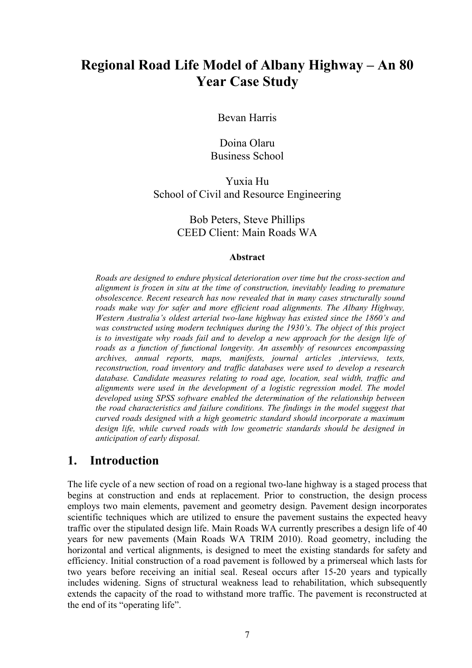# **Regional Road Life Model of Albany Highway – An 80 Year Case Study**

Bevan Harris

Doina Olaru Business School

Yuxia Hu School of Civil and Resource Engineering

#### Bob Peters, Steve Phillips CEED Client: Main Roads WA

#### **Abstract**

*Roads are designed to endure physical deterioration over time but the cross-section and alignment is frozen in situ at the time of construction, inevitably leading to premature obsolescence. Recent research has now revealed that in many cases structurally sound roads make way for safer and more efficient road alignments. The Albany Highway, Western Australia's oldest arterial two-lane highway has existed since the 1860's and was constructed using modern techniques during the 1930's. The object of this project is to investigate why roads fail and to develop a new approach for the design life of roads as a function of functional longevity. An assembly of resources encompassing archives, annual reports, maps, manifests, journal articles ,interviews, texts, reconstruction, road inventory and traffic databases were used to develop a research database. Candidate measures relating to road age, location, seal width, traffic and alignments were used in the development of a logistic regression model. The model developed using SPSS software enabled the determination of the relationship between the road characteristics and failure conditions. The findings in the model suggest that curved roads designed with a high geometric standard should incorporate a maximum design life, while curved roads with low geometric standards should be designed in anticipation of early disposal.*

#### **1. Introduction**

The life cycle of a new section of road on a regional two-lane highway is a staged process that begins at construction and ends at replacement. Prior to construction, the design process employs two main elements, pavement and geometry design. Pavement design incorporates scientific techniques which are utilized to ensure the pavement sustains the expected heavy traffic over the stipulated design life. Main Roads WA currently prescribes a design life of 40 years for new pavements (Main Roads WA TRIM 2010). Road geometry, including the horizontal and vertical alignments, is designed to meet the existing standards for safety and efficiency. Initial construction of a road pavement is followed by a primerseal which lasts for two years before receiving an initial seal. Reseal occurs after 15-20 years and typically includes widening. Signs of structural weakness lead to rehabilitation, which subsequently extends the capacity of the road to withstand more traffic. The pavement is reconstructed at the end of its "operating life".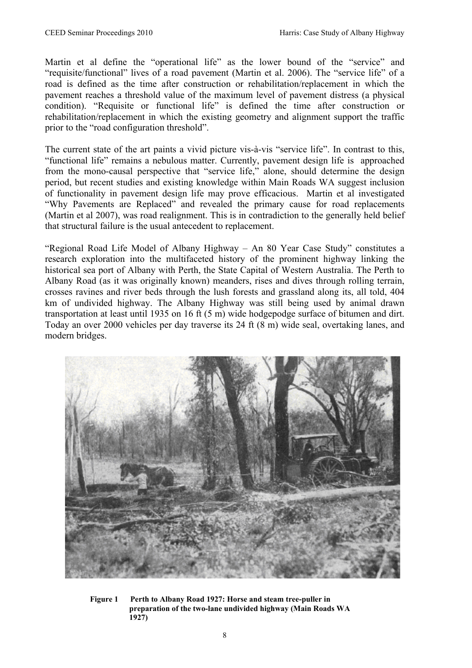Martin et al define the "operational life" as the lower bound of the "service" and "requisite/functional" lives of a road pavement (Martin et al. 2006). The "service life" of a road is defined as the time after construction or rehabilitation/replacement in which the pavement reaches a threshold value of the maximum level of pavement distress (a physical condition). "Requisite or functional life" is defined the time after construction or rehabilitation/replacement in which the existing geometry and alignment support the traffic prior to the "road configuration threshold".

The current state of the art paints a vivid picture vis-à-vis "service life". In contrast to this, "functional life" remains a nebulous matter. Currently, pavement design life is approached from the mono-causal perspective that "service life," alone, should determine the design period, but recent studies and existing knowledge within Main Roads WA suggest inclusion of functionality in pavement design life may prove efficacious. Martin et al investigated "Why Pavements are Replaced" and revealed the primary cause for road replacements (Martin et al 2007), was road realignment. This is in contradiction to the generally held belief that structural failure is the usual antecedent to replacement.

"Regional Road Life Model of Albany Highway – An 80 Year Case Study" constitutes a research exploration into the multifaceted history of the prominent highway linking the historical sea port of Albany with Perth, the State Capital of Western Australia. The Perth to Albany Road (as it was originally known) meanders, rises and dives through rolling terrain, crosses ravines and river beds through the lush forests and grassland along its, all told, 404 km of undivided highway. The Albany Highway was still being used by animal drawn transportation at least until 1935 on 16 ft (5 m) wide hodgepodge surface of bitumen and dirt. Today an over 2000 vehicles per day traverse its 24 ft (8 m) wide seal, overtaking lanes, and modern bridges.



**Figure 1 Perth to Albany Road 1927: Horse and steam tree-puller in preparation of the two-lane undivided highway (Main Roads WA 1927)**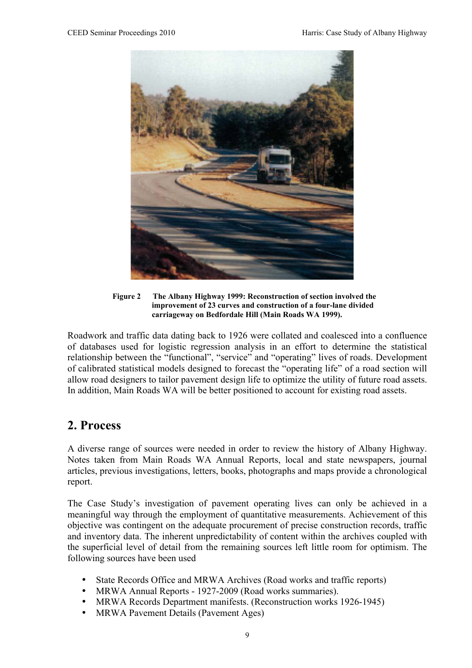

**Figure 2 The Albany Highway 1999: Reconstruction of section involved the improvement of 23 curves and construction of a four-lane divided carriageway on Bedfordale Hill (Main Roads WA 1999).** 

Roadwork and traffic data dating back to 1926 were collated and coalesced into a confluence of databases used for logistic regression analysis in an effort to determine the statistical relationship between the "functional", "service" and "operating" lives of roads. Development of calibrated statistical models designed to forecast the "operating life" of a road section will allow road designers to tailor pavement design life to optimize the utility of future road assets. In addition, Main Roads WA will be better positioned to account for existing road assets.

#### **2. Process**

A diverse range of sources were needed in order to review the history of Albany Highway. Notes taken from Main Roads WA Annual Reports, local and state newspapers, journal articles, previous investigations, letters, books, photographs and maps provide a chronological report.

The Case Study's investigation of pavement operating lives can only be achieved in a meaningful way through the employment of quantitative measurements. Achievement of this objective was contingent on the adequate procurement of precise construction records, traffic and inventory data. The inherent unpredictability of content within the archives coupled with the superficial level of detail from the remaining sources left little room for optimism. The following sources have been used

- State Records Office and MRWA Archives (Road works and traffic reports)
- MRWA Annual Reports 1927-2009 (Road works summaries).
- MRWA Records Department manifests. (Reconstruction works 1926-1945)
- MRWA Pavement Details (Pavement Ages)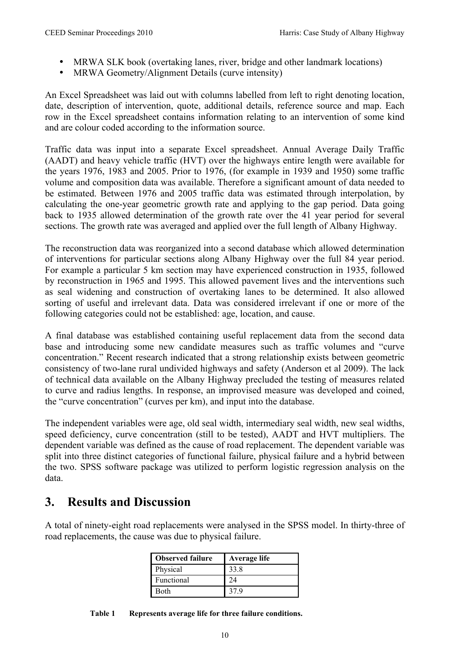- MRWA SLK book (overtaking lanes, river, bridge and other landmark locations)
- MRWA Geometry/Alignment Details (curve intensity)

An Excel Spreadsheet was laid out with columns labelled from left to right denoting location, date, description of intervention, quote, additional details, reference source and map. Each row in the Excel spreadsheet contains information relating to an intervention of some kind and are colour coded according to the information source.

Traffic data was input into a separate Excel spreadsheet. Annual Average Daily Traffic (AADT) and heavy vehicle traffic (HVT) over the highways entire length were available for the years 1976, 1983 and 2005. Prior to 1976, (for example in 1939 and 1950) some traffic volume and composition data was available. Therefore a significant amount of data needed to be estimated. Between 1976 and 2005 traffic data was estimated through interpolation, by calculating the one-year geometric growth rate and applying to the gap period. Data going back to 1935 allowed determination of the growth rate over the 41 year period for several sections. The growth rate was averaged and applied over the full length of Albany Highway.

The reconstruction data was reorganized into a second database which allowed determination of interventions for particular sections along Albany Highway over the full 84 year period. For example a particular 5 km section may have experienced construction in 1935, followed by reconstruction in 1965 and 1995. This allowed pavement lives and the interventions such as seal widening and construction of overtaking lanes to be determined. It also allowed sorting of useful and irrelevant data. Data was considered irrelevant if one or more of the following categories could not be established: age, location, and cause.

A final database was established containing useful replacement data from the second data base and introducing some new candidate measures such as traffic volumes and "curve concentration." Recent research indicated that a strong relationship exists between geometric consistency of two-lane rural undivided highways and safety (Anderson et al 2009). The lack of technical data available on the Albany Highway precluded the testing of measures related to curve and radius lengths. In response, an improvised measure was developed and coined, the "curve concentration" (curves per km), and input into the database.

The independent variables were age, old seal width, intermediary seal width, new seal widths, speed deficiency, curve concentration (still to be tested), AADT and HVT multipliers. The dependent variable was defined as the cause of road replacement. The dependent variable was split into three distinct categories of functional failure, physical failure and a hybrid between the two. SPSS software package was utilized to perform logistic regression analysis on the data.

### **3. Results and Discussion**

A total of ninety-eight road replacements were analysed in the SPSS model. In thirty-three of road replacements, the cause was due to physical failure.

| <b>Observed failure</b> | Average life |
|-------------------------|--------------|
| Physical                | 33.8         |
| Functional              | 24           |
| Both                    | 37 Q         |

**Table 1 Represents average life for three failure conditions.**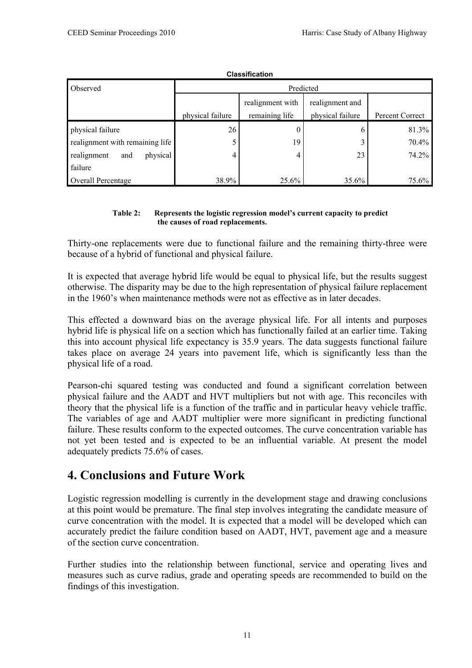| <b>VIGJJIIIVALIVII</b>          |                  |                                    |                                     |                 |  |
|---------------------------------|------------------|------------------------------------|-------------------------------------|-----------------|--|
| Observed                        | Predicted        |                                    |                                     |                 |  |
|                                 | physical failure | realignment with<br>remaining life | realignment and<br>physical failure | Percent Correct |  |
| physical failure                | 26               |                                    | O                                   | 81.3%           |  |
| realignment with remaining life | 5                | 19                                 |                                     | 70.4%           |  |
| physical<br>realignment<br>and  | 4                | 4                                  | 23                                  | 74.2%           |  |
| failure                         |                  |                                    |                                     |                 |  |
| Overall Percentage              | 38.9%            | 25.6%                              | 35.6%                               | 75.6%           |  |

**Classification**

#### **Table 2: Represents the logistic regression model's current capacity to predict the causes of road replacements.**

Thirty-one replacements were due to functional failure and the remaining thirty-three were because of a hybrid of functional and physical failure.

It is expected that average hybrid life would be equal to physical life, but the results suggest otherwise. The disparity may be due to the high representation of physical failure replacement in the 1960's when maintenance methods were not as effective as in later decades.

This effected a downward bias on the average physical life. For all intents and purposes hybrid life is physical life on a section which has functionally failed at an earlier time. Taking this into account physical life expectancy is 35.9 years. The data suggests functional failure takes place on average 24 years into pavement life, which is significantly less than the physical life of a road.

Pearson-chi squared testing was conducted and found a significant correlation between physical failure and the AADT and HVT multipliers but not with age. This reconciles with theory that the physical life is a function of the traffic and in particular heavy vehicle traffic. The variables of age and AADT multiplier were more significant in predicting functional failure. These results conform to the expected outcomes. The curve concentration variable has not yet been tested and is expected to be an influential variable. At present the model adequately predicts 75.6% of cases.

### **4. Conclusions and Future Work**

Logistic regression modelling is currently in the development stage and drawing conclusions at this point would be premature. The final step involves integrating the candidate measure of curve concentration with the model. It is expected that a model will be developed which can accurately predict the failure condition based on AADT, HVT, pavement age and a measure of the section curve concentration.

Further studies into the relationship between functional, service and operating lives and measures such as curve radius, grade and operating speeds are recommended to build on the findings of this investigation.